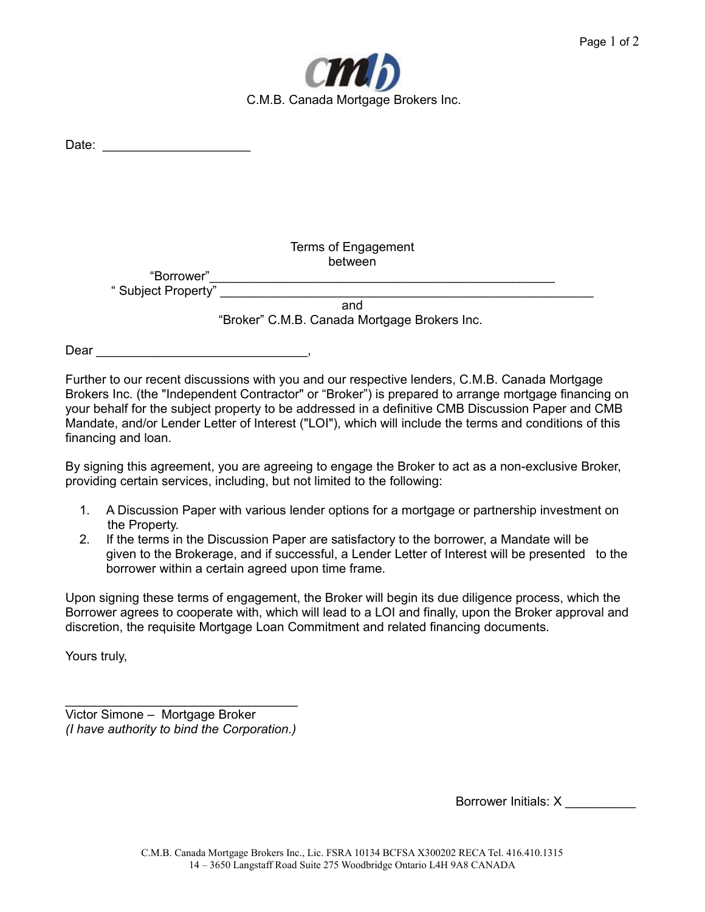

| Date: |                    |                                              |  |
|-------|--------------------|----------------------------------------------|--|
|       |                    |                                              |  |
|       |                    |                                              |  |
|       |                    |                                              |  |
|       |                    |                                              |  |
|       |                    |                                              |  |
|       |                    |                                              |  |
|       |                    |                                              |  |
|       |                    | Terms of Engagement                          |  |
|       |                    | between                                      |  |
|       | "Borrower"         |                                              |  |
|       | "Subject Property" |                                              |  |
|       |                    | and                                          |  |
|       |                    | "Broker" C.M.B. Canada Mortgage Brokers Inc. |  |
|       |                    |                                              |  |

Dear \_\_\_\_\_\_\_\_\_\_\_\_\_\_\_\_\_\_\_

Further to our recent discussions with you and our respective lenders, C.M.B. Canada Mortgage Brokers Inc. (the "Independent Contractor" or "Broker") is prepared to arrange mortgage financing on your behalf for the subject property to be addressed in a definitive CMB Discussion Paper and CMB Mandate, and/or Lender Letter of Interest ("LOI"), which will include the terms and conditions of this financing and loan.

By signing this agreement, you are agreeing to engage the Broker to act as a non-exclusive Broker, providing certain services, including, but not limited to the following:

- 1. A Discussion Paper with various lender options for a mortgage or partnership investment on the Property.
- 2. If the terms in the Discussion Paper are satisfactory to the borrower, a Mandate will be given to the Brokerage, and if successful, a Lender Letter of Interest will be presented to the borrower within a certain agreed upon time frame.

Upon signing these terms of engagement, the Broker will begin its due diligence process, which the Borrower agrees to cooperate with, which will lead to a LOI and finally, upon the Broker approval and discretion, the requisite Mortgage Loan Commitment and related financing documents.

Yours truly,

 $\mathcal{L}=\{1,2,3,4,5\}$ Victor Simone – Mortgage Broker *(I have authority to bind the Corporation.)*

Borrower Initials: X